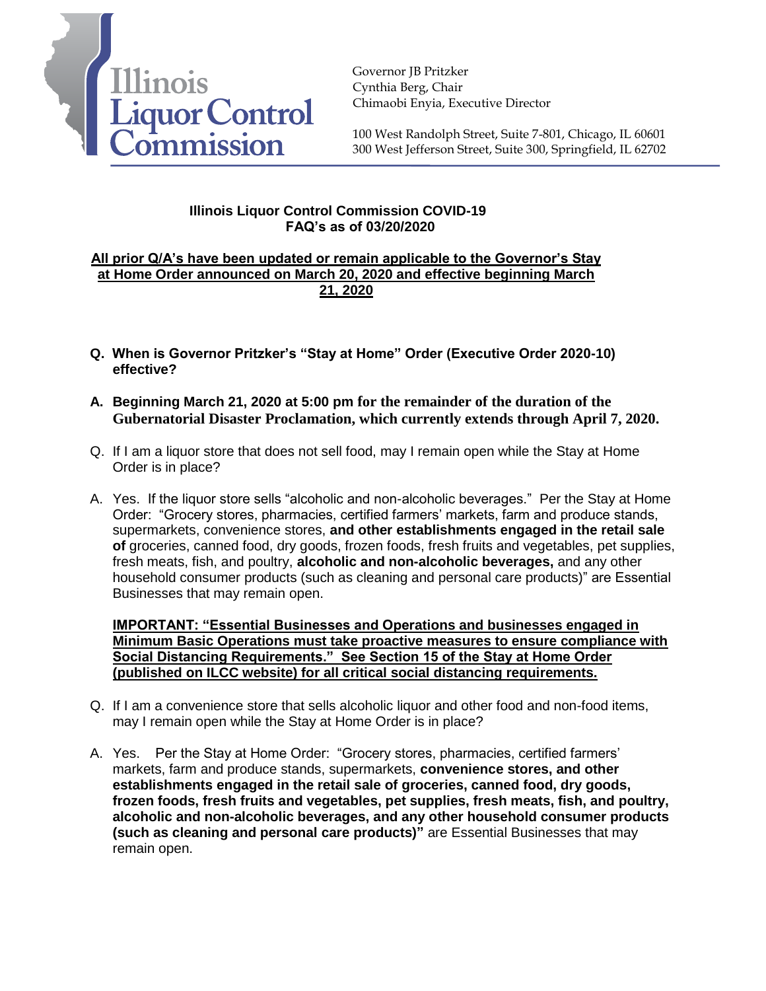

Governor JB Pritzker Cynthia Berg, Chair Chimaobi Enyia, Executive Director

100 West Randolph Street, Suite 7-801, Chicago, IL 60601 300 West Jefferson Street, Suite 300, Springfield, IL 62702

## **Illinois Liquor Control Commission COVID-19 FAQ's as of 03/20/2020**

## **All prior Q/A's have been updated or remain applicable to the Governor's Stay at Home Order announced on March 20, 2020 and effective beginning March 21, 2020**

- **Q. When is Governor Pritzker's "Stay at Home" Order (Executive Order 2020-10) effective?**
- **A. Beginning March 21, 2020 at 5:00 pm for the remainder of the duration of the Gubernatorial Disaster Proclamation, which currently extends through April 7, 2020.**
- Q. If I am a liquor store that does not sell food, may I remain open while the Stay at Home Order is in place?
- A. Yes. If the liquor store sells "alcoholic and non-alcoholic beverages." Per the Stay at Home Order: "Grocery stores, pharmacies, certified farmers' markets, farm and produce stands, supermarkets, convenience stores, **and other establishments engaged in the retail sale of** groceries, canned food, dry goods, frozen foods, fresh fruits and vegetables, pet supplies, fresh meats, fish, and poultry, **alcoholic and non-alcoholic beverages,** and any other household consumer products (such as cleaning and personal care products)" are Essential Businesses that may remain open.

**IMPORTANT: "Essential Businesses and Operations and businesses engaged in Minimum Basic Operations must take proactive measures to ensure compliance with Social Distancing Requirements." See Section 15 of the Stay at Home Order (published on ILCC website) for all critical social distancing requirements.** 

- Q. If I am a convenience store that sells alcoholic liquor and other food and non-food items, may I remain open while the Stay at Home Order is in place?
- A. Yes. Per the Stay at Home Order: "Grocery stores, pharmacies, certified farmers' markets, farm and produce stands, supermarkets, **convenience stores, and other establishments engaged in the retail sale of groceries, canned food, dry goods, frozen foods, fresh fruits and vegetables, pet supplies, fresh meats, fish, and poultry, alcoholic and non-alcoholic beverages, and any other household consumer products (such as cleaning and personal care products)"** are Essential Businesses that may remain open.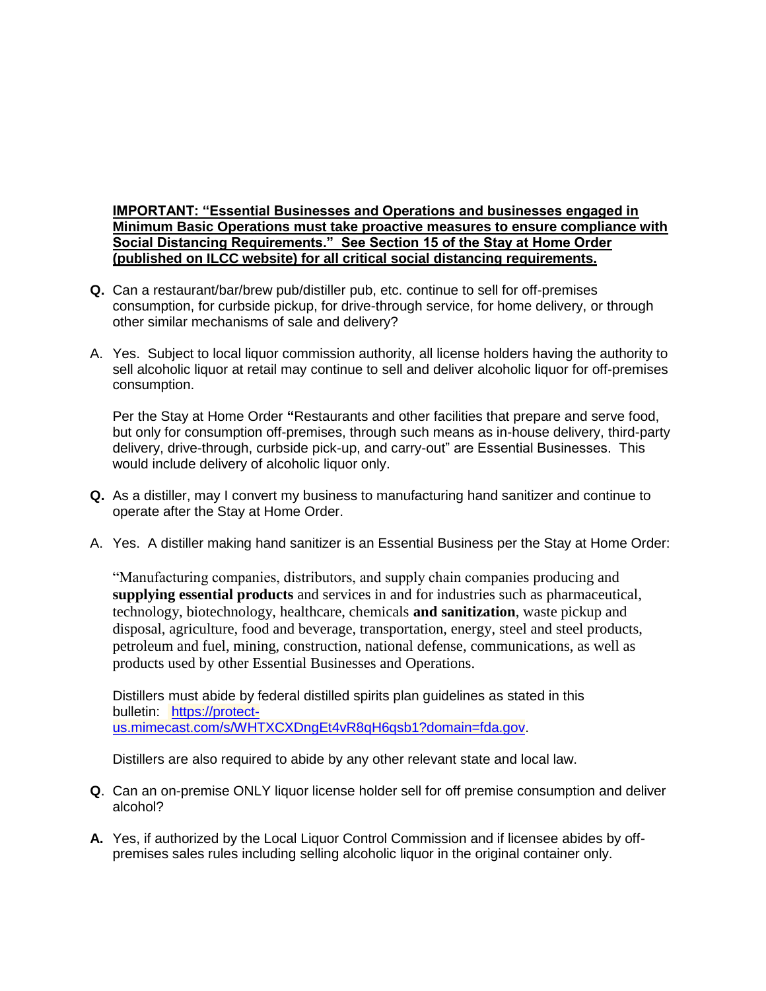## **IMPORTANT: "Essential Businesses and Operations and businesses engaged in Minimum Basic Operations must take proactive measures to ensure compliance with Social Distancing Requirements." See Section 15 of the Stay at Home Order (published on ILCC website) for all critical social distancing requirements.**

- **Q.** Can a restaurant/bar/brew pub/distiller pub, etc. continue to sell for off-premises consumption, for curbside pickup, for drive-through service, for home delivery, or through other similar mechanisms of sale and delivery?
- A. Yes. Subject to local liquor commission authority, all license holders having the authority to sell alcoholic liquor at retail may continue to sell and deliver alcoholic liquor for off-premises consumption.

Per the Stay at Home Order **"**Restaurants and other facilities that prepare and serve food, but only for consumption off-premises, through such means as in-house delivery, third-party delivery, drive-through, curbside pick-up, and carry-out" are Essential Businesses. This would include delivery of alcoholic liquor only.

- **Q.** As a distiller, may I convert my business to manufacturing hand sanitizer and continue to operate after the Stay at Home Order.
- A. Yes. A distiller making hand sanitizer is an Essential Business per the Stay at Home Order:

"Manufacturing companies, distributors, and supply chain companies producing and **supplying essential products** and services in and for industries such as pharmaceutical, technology, biotechnology, healthcare, chemicals **and sanitization**, waste pickup and disposal, agriculture, food and beverage, transportation, energy, steel and steel products, petroleum and fuel, mining, construction, national defense, communications, as well as products used by other Essential Businesses and Operations.

Distillers must abide by federal distilled spirits plan guidelines as stated in this bulletin: [https://protect](https://protect-us.mimecast.com/s/WHTXCXDngEt4vR8qH6qsb1?domain=fda.gov)[us.mimecast.com/s/WHTXCXDngEt4vR8qH6qsb1?domain=fda.gov.](https://protect-us.mimecast.com/s/WHTXCXDngEt4vR8qH6qsb1?domain=fda.gov)

Distillers are also required to abide by any other relevant state and local law.

- **Q**. Can an on-premise ONLY liquor license holder sell for off premise consumption and deliver alcohol?
- **A.** Yes, if authorized by the Local Liquor Control Commission and if licensee abides by offpremises sales rules including selling alcoholic liquor in the original container only.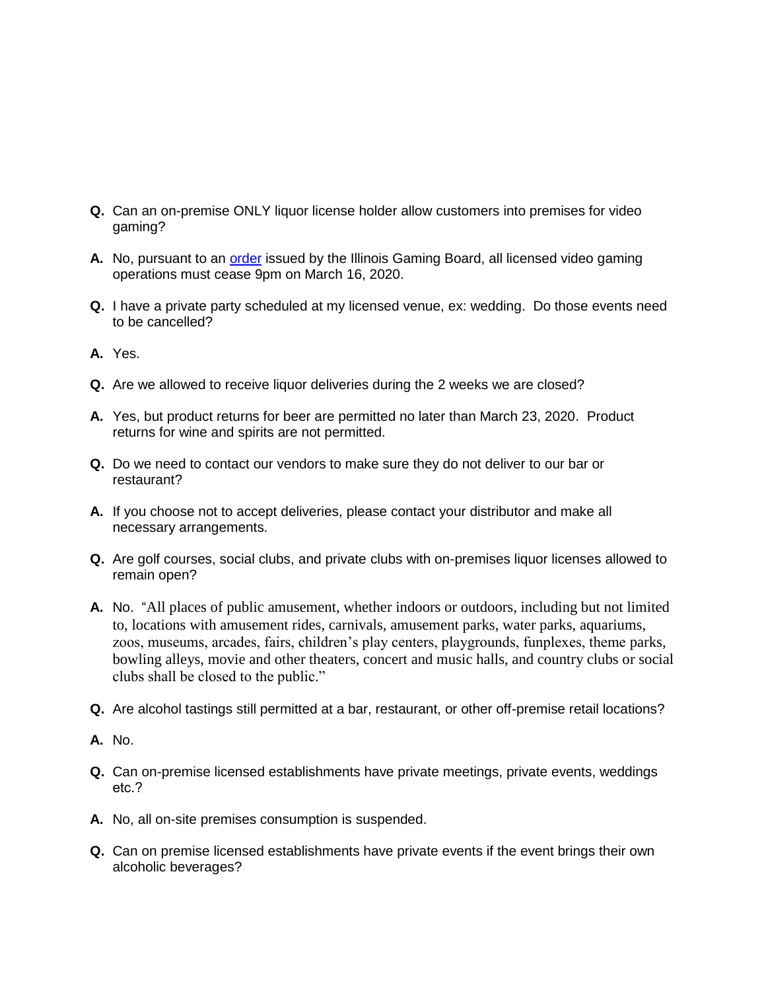- **Q.** Can an on-premise ONLY liquor license holder allow customers into premises for video gaming?
- **A.** No, pursuant to an [order](mailto:https://www.igb.illinois.gov/FilesPressReleases/IGB%20announces%20suspension%20of%20video%20gaming%20due%20to%20CO.pdf) issued by the Illinois Gaming Board, all licensed video gaming operations must cease 9pm on March 16, 2020.
- **Q.** I have a private party scheduled at my licensed venue, ex: wedding. Do those events need to be cancelled?
- **A.** Yes.
- **Q.** Are we allowed to receive liquor deliveries during the 2 weeks we are closed?
- **A.** Yes, but product returns for beer are permitted no later than March 23, 2020. Product returns for wine and spirits are not permitted.
- **Q.** Do we need to contact our vendors to make sure they do not deliver to our bar or restaurant?
- **A.** If you choose not to accept deliveries, please contact your distributor and make all necessary arrangements.
- **Q.** Are golf courses, social clubs, and private clubs with on-premises liquor licenses allowed to remain open?
- **A.** No. "All places of public amusement, whether indoors or outdoors, including but not limited to, locations with amusement rides, carnivals, amusement parks, water parks, aquariums, zoos, museums, arcades, fairs, children's play centers, playgrounds, funplexes, theme parks, bowling alleys, movie and other theaters, concert and music halls, and country clubs or social clubs shall be closed to the public."
- **Q.** Are alcohol tastings still permitted at a bar, restaurant, or other off-premise retail locations?
- **A.** No.
- **Q.** Can on-premise licensed establishments have private meetings, private events, weddings etc.?
- **A.** No, all on-site premises consumption is suspended.
- **Q.** Can on premise licensed establishments have private events if the event brings their own alcoholic beverages?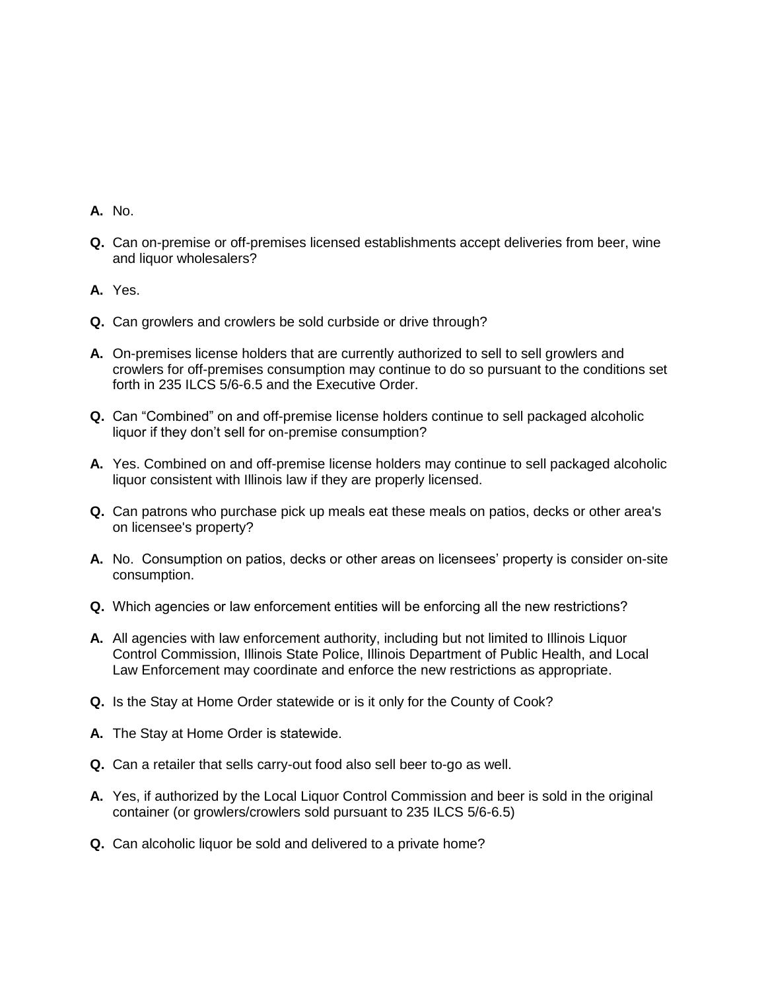- **A.** No.
- **Q.** Can on-premise or off-premises licensed establishments accept deliveries from beer, wine and liquor wholesalers?
- **A.** Yes.
- **Q.** Can growlers and crowlers be sold curbside or drive through?
- **A.** On-premises license holders that are currently authorized to sell to sell growlers and crowlers for off-premises consumption may continue to do so pursuant to the conditions set forth in 235 ILCS 5/6-6.5 and the Executive Order.
- **Q.** Can "Combined" on and off-premise license holders continue to sell packaged alcoholic liquor if they don't sell for on-premise consumption?
- **A.** Yes. Combined on and off-premise license holders may continue to sell packaged alcoholic liquor consistent with Illinois law if they are properly licensed.
- **Q.** Can patrons who purchase pick up meals eat these meals on patios, decks or other area's on licensee's property?
- **A.** No. Consumption on patios, decks or other areas on licensees' property is consider on-site consumption.
- **Q.** Which agencies or law enforcement entities will be enforcing all the new restrictions?
- **A.** All agencies with law enforcement authority, including but not limited to Illinois Liquor Control Commission, Illinois State Police, Illinois Department of Public Health, and Local Law Enforcement may coordinate and enforce the new restrictions as appropriate.
- **Q.** Is the Stay at Home Order statewide or is it only for the County of Cook?
- **A.** The Stay at Home Order is statewide.
- **Q.** Can a retailer that sells carry-out food also sell beer to-go as well.
- **A.** Yes, if authorized by the Local Liquor Control Commission and beer is sold in the original container (or growlers/crowlers sold pursuant to 235 ILCS 5/6-6.5)
- **Q.** Can alcoholic liquor be sold and delivered to a private home?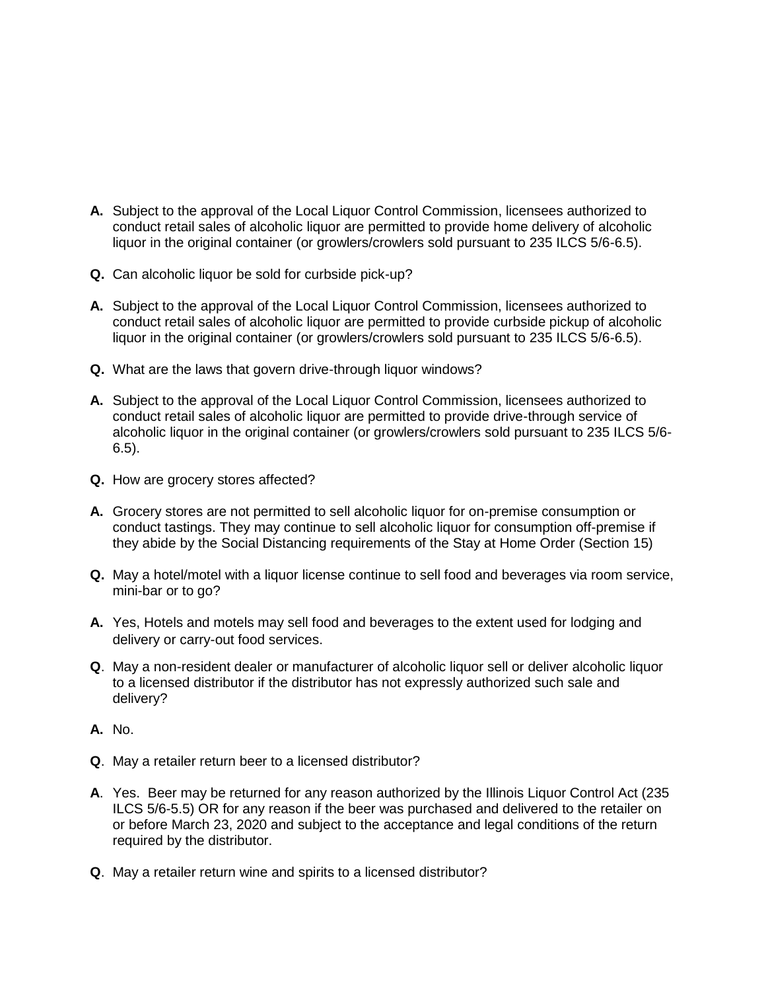- **A.** Subject to the approval of the Local Liquor Control Commission, licensees authorized to conduct retail sales of alcoholic liquor are permitted to provide home delivery of alcoholic liquor in the original container (or growlers/crowlers sold pursuant to 235 ILCS 5/6-6.5).
- **Q.** Can alcoholic liquor be sold for curbside pick-up?
- **A.** Subject to the approval of the Local Liquor Control Commission, licensees authorized to conduct retail sales of alcoholic liquor are permitted to provide curbside pickup of alcoholic liquor in the original container (or growlers/crowlers sold pursuant to 235 ILCS 5/6-6.5).
- **Q.** What are the laws that govern drive-through liquor windows?
- **A.** Subject to the approval of the Local Liquor Control Commission, licensees authorized to conduct retail sales of alcoholic liquor are permitted to provide drive-through service of alcoholic liquor in the original container (or growlers/crowlers sold pursuant to 235 ILCS 5/6- 6.5).
- **Q.** How are grocery stores affected?
- **A.** Grocery stores are not permitted to sell alcoholic liquor for on-premise consumption or conduct tastings. They may continue to sell alcoholic liquor for consumption off-premise if they abide by the Social Distancing requirements of the Stay at Home Order (Section 15)
- **Q.** May a hotel/motel with a liquor license continue to sell food and beverages via room service, mini-bar or to go?
- **A.** Yes, Hotels and motels may sell food and beverages to the extent used for lodging and delivery or carry-out food services.
- **Q**. May a non-resident dealer or manufacturer of alcoholic liquor sell or deliver alcoholic liquor to a licensed distributor if the distributor has not expressly authorized such sale and delivery?
- **A.** No.
- **Q**. May a retailer return beer to a licensed distributor?
- **A**. Yes. Beer may be returned for any reason authorized by the Illinois Liquor Control Act (235 ILCS 5/6-5.5) OR for any reason if the beer was purchased and delivered to the retailer on or before March 23, 2020 and subject to the acceptance and legal conditions of the return required by the distributor.
- **Q**. May a retailer return wine and spirits to a licensed distributor?